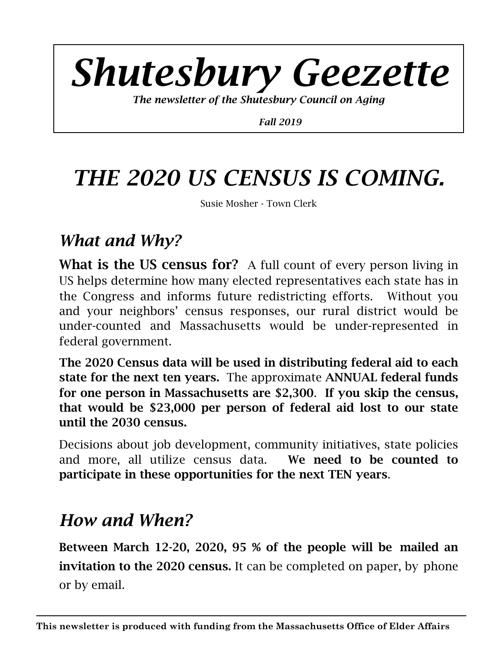# *Shutesbury Geezette*

*The newsletter of the Shutesbury Council on Aging* 

 *Fall 2019* 

## *THE 2020 US CENSUS IS COMING.*

Susie Mosher - Town Clerk

#### *What and Why?*

What is the US census for? A full count of every person living in US helps determine how many elected representatives each state has in the Congress and informs future redistricting efforts. Without you and your neighbors' census responses, our rural district would be under-counted and Massachusetts would be under-represented in federal government.

The 2020 Census data will be used in distributing federal aid to each state for the next ten years. The approximate ANNUAL federal funds for one person in Massachusetts are \$2,300. If you skip the census, that would be \$23,000 per person of federal aid lost to our state until the 2030 census.

Decisions about job development, community initiatives, state policies and more, all utilize census data. We need to be counted to participate in these opportunities for the next TEN years.

## *How and When?*

Between March 12-20, 2020, 95 % of the people will be mailed an invitation to the 2020 census. It can be completed on paper, by phone or by email.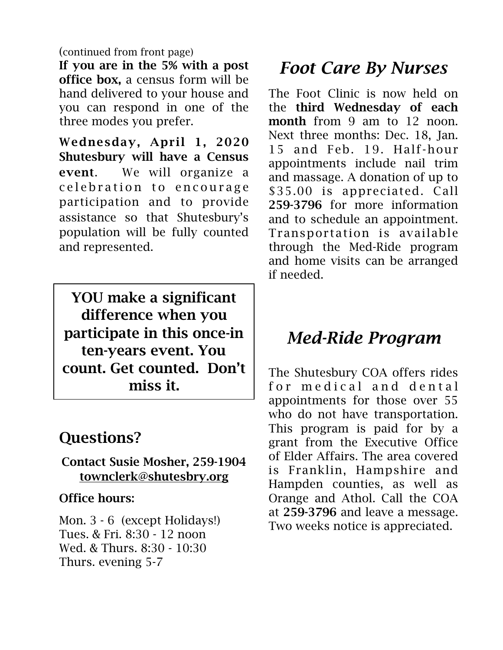(continued from front page)

If you are in the 5% with a post office box, a census form will be hand delivered to your house and you can respond in one of the three modes you prefer.

Wednesday, April 1, 2020 Shutesbury will have a Census event. We will organize a c e l e bration to encourage participation and to provide assistance so that Shutesbury's population will be fully counted and represented.

YOU make a significant difference when you participate in this once-in ten-years event. You count. Get counted. Don't miss it.

#### Questions?

Contact Susie Mosher, 259-1904 [townclerk@shutesbry.org](mailto:townclerk@shutesbry.org)

#### Office hours:

Mon. 3 - 6 (except Holidays!) Tues. & Fri. 8:30 - 12 noon Wed. & Thurs. 8:30 - 10:30 Thurs. evening 5-7

### *Foot Care By Nurses*

The Foot Clinic is now held on the third Wednesday of each month from 9 am to 12 noon. Next three months: Dec. 18, Jan. 15 and Feb. 19. Half-hour appointments include nail trim and massage. A donation of up to \$35.00 is appreciated. Call 259-3796 for more information and to schedule an appointment. Transportation is available through the Med-Ride program and home visits can be arranged if needed.

## *Med-Ride Program*

The Shutesbury COA offers rides for medical and dental appointments for those over 55 who do not have transportation. This program is paid for by a grant from the Executive Office of Elder Affairs. The area covered is Franklin, Hampshire and Hampden counties, as well as Orange and Athol. Call the COA at 259-3796 and leave a message. Two weeks notice is appreciated.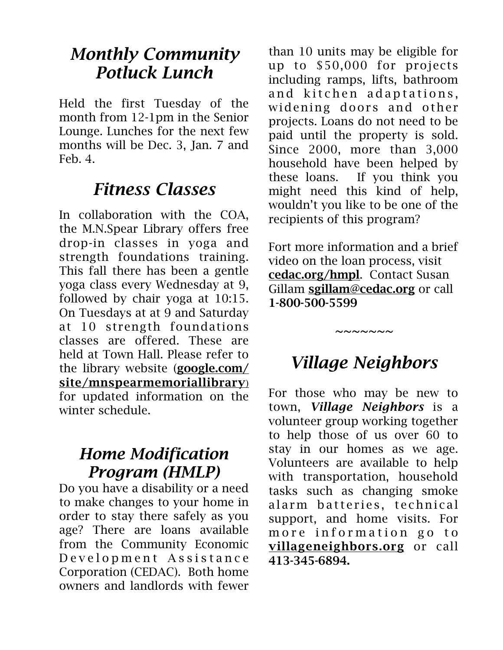#### *Monthly Community Potluck Lunch*

Held the first Tuesday of the month from 12-1pm in the Senior Lounge. Lunches for the next few months will be Dec. 3, Jan. 7 and Feb. 4.

#### *Fitness Classes*

In collaboration with the COA, the M.N.Spear Library offers free drop-in classes in yoga and strength foundations training. This fall there has been a gentle yoga class every Wednesday at 9, followed by chair yoga at 10:15. On Tuesdays at at 9 and Saturday at 10 strength foundations classes are offered. These are held at Town Hall. Please refer to the library website (google.com/ [site/mnspearmemoriallibrary](http://google.com/site/mnspearmemoriallibrary)) for updated information on the winter schedule.

#### *Home Modification Program (HMLP)*

Do you have a disability or a need to make changes to your home in order to stay there safely as you age? There are loans available from the Community Economic D e v e l o p m e n t A s s i s t a n c e Corporation (CEDAC). Both home owners and landlords with fewer

than 10 units may be eligible for up to \$50,000 for projects including ramps, lifts, bathroom and kitchen adaptations, widening doors and other projects. Loans do not need to be paid until the property is sold. Since 2000, more than 3,000 household have been helped by these loans. If you think you might need this kind of help, wouldn't you like to be one of the recipients of this program?

Fort more information and a brief video on the loan process, visit [cedac.org/hmpl](http://cedac.org/hmpl). Contact Susan Gillam [sgillam@cedac.org](mailto:sgillam@cedac.org) or call 1-800-500-5599

## *Village Neighbors*

*~~~~~~~* 

For those who may be new to town, *Village Neighbors* is a volunteer group working together to help those of us over 60 to stay in our homes as we age. Volunteers are available to help with transportation, household tasks such as changing smoke alarm batteries, technical support, and home visits. For more information go to [villageneighbors.org](http://villageneighbors.org) or call 413-345-6894.